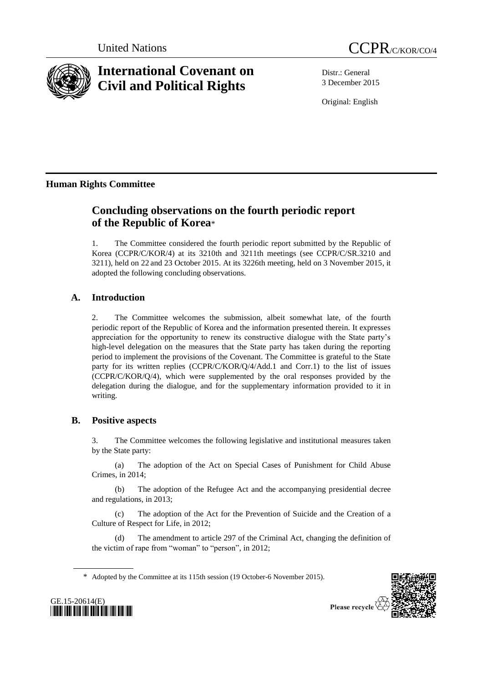



# **International Covenant on Civil and Political Rights**

Distr.: General 3 December 2015

Original: English

## **Human Rights Committee**

## **Concluding observations on the fourth periodic report of the Republic of Korea**\*

1. The Committee considered the fourth periodic report submitted by the Republic of Korea (CCPR/C/KOR/4) at its 3210th and 3211th meetings (see CCPR/C/SR.3210 and 3211), held on 22 and 23 October 2015. At its 3226th meeting, held on 3 November 2015, it adopted the following concluding observations.

## **A. Introduction**

2. The Committee welcomes the submission, albeit somewhat late, of the fourth periodic report of the Republic of Korea and the information presented therein. It expresses appreciation for the opportunity to renew its constructive dialogue with the State party's high-level delegation on the measures that the State party has taken during the reporting period to implement the provisions of the Covenant. The Committee is grateful to the State party for its written replies (CCPR/C/KOR/Q/4/Add.1 and Corr.1) to the list of issues (CCPR/C/KOR/Q/4), which were supplemented by the oral responses provided by the delegation during the dialogue, and for the supplementary information provided to it in writing.

## **B. Positive aspects**

3. The Committee welcomes the following legislative and institutional measures taken by the State party:

(a) The adoption of the Act on Special Cases of Punishment for Child Abuse Crimes, in 2014;

(b) The adoption of the Refugee Act and the accompanying presidential decree and regulations, in 2013;

(c) The adoption of the Act for the Prevention of Suicide and the Creation of a Culture of Respect for Life, in 2012;

(d) The amendment to article 297 of the Criminal Act, changing the definition of the victim of rape from "woman" to "person", in 2012;

\* Adopted by the Committee at its 115th session (19 October-6 November 2015).



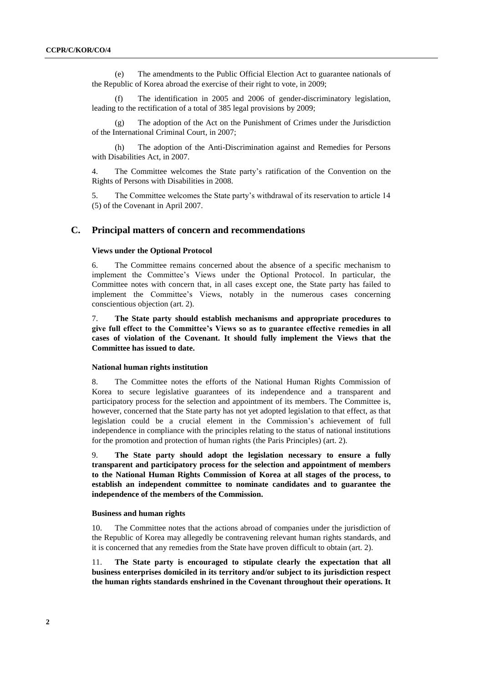(e) The amendments to the Public Official Election Act to guarantee nationals of the Republic of Korea abroad the exercise of their right to vote, in 2009;

The identification in 2005 and 2006 of gender-discriminatory legislation, leading to the rectification of a total of 385 legal provisions by 2009;

The adoption of the Act on the Punishment of Crimes under the Jurisdiction of the International Criminal Court, in 2007;

(h) The adoption of the Anti-Discrimination against and Remedies for Persons with Disabilities Act, in 2007.

4. The Committee welcomes the State party's ratification of the Convention on the Rights of Persons with Disabilities in 2008.

5. The Committee welcomes the State party's withdrawal of its reservation to article 14 (5) of the Covenant in April 2007.

## **C. Principal matters of concern and recommendations**

#### **Views under the Optional Protocol**

6. The Committee remains concerned about the absence of a specific mechanism to implement the Committee's Views under the Optional Protocol. In particular, the Committee notes with concern that, in all cases except one, the State party has failed to implement the Committee's Views, notably in the numerous cases concerning conscientious objection (art. 2).

7. **The State party should establish mechanisms and appropriate procedures to give full effect to the Committee's Views so as to guarantee effective remedies in all cases of violation of the Covenant. It should fully implement the Views that the Committee has issued to date.**

## **National human rights institution**

8. The Committee notes the efforts of the National Human Rights Commission of Korea to secure legislative guarantees of its independence and a transparent and participatory process for the selection and appointment of its members. The Committee is, however, concerned that the State party has not yet adopted legislation to that effect, as that legislation could be a crucial element in the Commission's achievement of full independence in compliance with the principles relating to the status of national institutions for the promotion and protection of human rights (the Paris Principles) (art. 2).

9. **The State party should adopt the legislation necessary to ensure a fully transparent and participatory process for the selection and appointment of members to the National Human Rights Commission of Korea at all stages of the process, to establish an independent committee to nominate candidates and to guarantee the independence of the members of the Commission.** 

#### **Business and human rights**

10. The Committee notes that the actions abroad of companies under the jurisdiction of the Republic of Korea may allegedly be contravening relevant human rights standards, and it is concerned that any remedies from the State have proven difficult to obtain (art. 2).

11. **The State party is encouraged to stipulate clearly the expectation that all business enterprises domiciled in its territory and/or subject to its jurisdiction respect the human rights standards enshrined in the Covenant throughout their operations. It**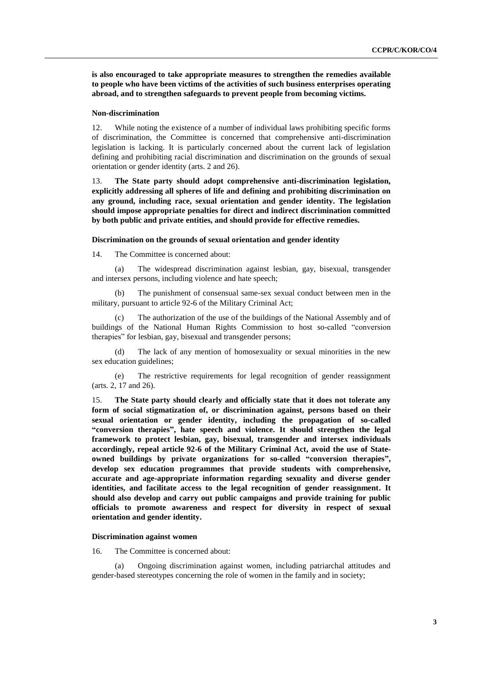**is also encouraged to take appropriate measures to strengthen the remedies available to people who have been victims of the activities of such business enterprises operating abroad, and to strengthen safeguards to prevent people from becoming victims.**

#### **Non-discrimination**

12. While noting the existence of a number of individual laws prohibiting specific forms of discrimination, the Committee is concerned that comprehensive anti-discrimination legislation is lacking. It is particularly concerned about the current lack of legislation defining and prohibiting racial discrimination and discrimination on the grounds of sexual orientation or gender identity (arts. 2 and 26).

13. **The State party should adopt comprehensive anti-discrimination legislation, explicitly addressing all spheres of life and defining and prohibiting discrimination on any ground, including race, sexual orientation and gender identity. The legislation should impose appropriate penalties for direct and indirect discrimination committed by both public and private entities, and should provide for effective remedies.** 

#### **Discrimination on the grounds of sexual orientation and gender identity**

14. The Committee is concerned about:

(a) The widespread discrimination against lesbian, gay, bisexual, transgender and intersex persons, including violence and hate speech;

(b) The punishment of consensual same-sex sexual conduct between men in the military, pursuant to article 92-6 of the Military Criminal Act;

(c) The authorization of the use of the buildings of the National Assembly and of buildings of the National Human Rights Commission to host so-called "conversion therapies" for lesbian, gay, bisexual and transgender persons;

(d) The lack of any mention of homosexuality or sexual minorities in the new sex education guidelines;

(e) The restrictive requirements for legal recognition of gender reassignment (arts. 2, 17 and 26).

15. **The State party should clearly and officially state that it does not tolerate any form of social stigmatization of, or discrimination against, persons based on their sexual orientation or gender identity, including the propagation of so-called "conversion therapies", hate speech and violence. It should strengthen the legal framework to protect lesbian, gay, bisexual, transgender and intersex individuals accordingly, repeal article 92-6 of the Military Criminal Act, avoid the use of Stateowned buildings by private organizations for so-called "conversion therapies", develop sex education programmes that provide students with comprehensive, accurate and age-appropriate information regarding sexuality and diverse gender identities, and facilitate access to the legal recognition of gender reassignment. It should also develop and carry out public campaigns and provide training for public officials to promote awareness and respect for diversity in respect of sexual orientation and gender identity.**

#### **Discrimination against women**

16. The Committee is concerned about:

(a) Ongoing discrimination against women, including patriarchal attitudes and gender-based stereotypes concerning the role of women in the family and in society;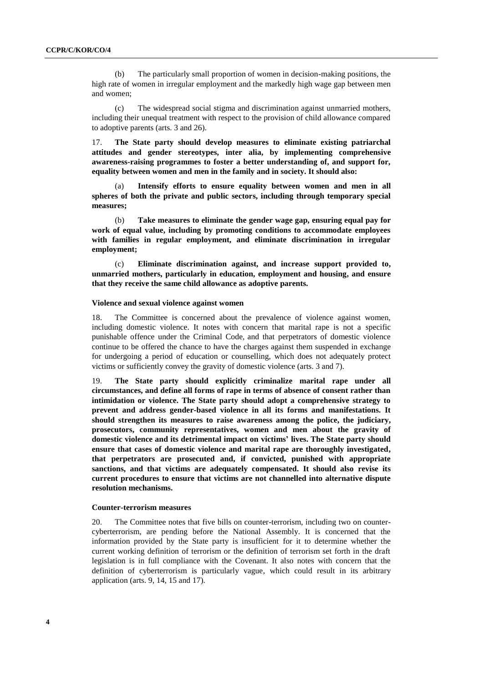(b) The particularly small proportion of women in decision-making positions, the high rate of women in irregular employment and the markedly high wage gap between men and women;

(c) The widespread social stigma and discrimination against unmarried mothers, including their unequal treatment with respect to the provision of child allowance compared to adoptive parents (arts. 3 and 26).

17. **The State party should develop measures to eliminate existing patriarchal attitudes and gender stereotypes, inter alia, by implementing comprehensive awareness-raising programmes to foster a better understanding of, and support for, equality between women and men in the family and in society. It should also:** 

(a) **Intensify efforts to ensure equality between women and men in all spheres of both the private and public sectors, including through temporary special measures;**

(b) **Take measures to eliminate the gender wage gap, ensuring equal pay for work of equal value, including by promoting conditions to accommodate employees with families in regular employment, and eliminate discrimination in irregular employment;**

(c) **Eliminate discrimination against, and increase support provided to, unmarried mothers, particularly in education, employment and housing, and ensure that they receive the same child allowance as adoptive parents.**

#### **Violence and sexual violence against women**

18. The Committee is concerned about the prevalence of violence against women, including domestic violence. It notes with concern that marital rape is not a specific punishable offence under the Criminal Code, and that perpetrators of domestic violence continue to be offered the chance to have the charges against them suspended in exchange for undergoing a period of education or counselling, which does not adequately protect victims or sufficiently convey the gravity of domestic violence (arts. 3 and 7).

19. **The State party should explicitly criminalize marital rape under all circumstances, and define all forms of rape in terms of absence of consent rather than intimidation or violence. The State party should adopt a comprehensive strategy to prevent and address gender-based violence in all its forms and manifestations. It should strengthen its measures to raise awareness among the police, the judiciary, prosecutors, community representatives, women and men about the gravity of domestic violence and its detrimental impact on victims' lives. The State party should ensure that cases of domestic violence and marital rape are thoroughly investigated, that perpetrators are prosecuted and, if convicted, punished with appropriate sanctions, and that victims are adequately compensated. It should also revise its current procedures to ensure that victims are not channelled into alternative dispute resolution mechanisms.** 

#### **Counter-terrorism measures**

20. The Committee notes that five bills on counter-terrorism, including two on countercyberterrorism, are pending before the National Assembly. It is concerned that the information provided by the State party is insufficient for it to determine whether the current working definition of terrorism or the definition of terrorism set forth in the draft legislation is in full compliance with the Covenant. It also notes with concern that the definition of cyberterrorism is particularly vague, which could result in its arbitrary application (arts. 9, 14, 15 and 17).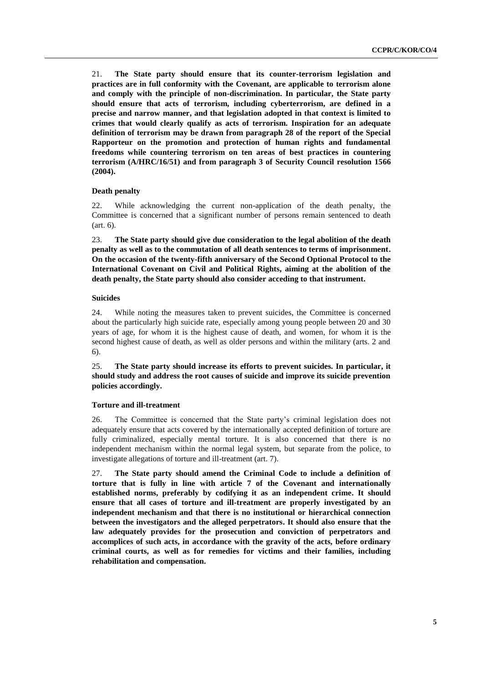21. **The State party should ensure that its counter-terrorism legislation and practices are in full conformity with the Covenant, are applicable to terrorism alone and comply with the principle of non-discrimination. In particular, the State party should ensure that acts of terrorism, including cyberterrorism, are defined in a precise and narrow manner, and that legislation adopted in that context is limited to crimes that would clearly qualify as acts of terrorism. Inspiration for an adequate definition of terrorism may be drawn from paragraph 28 of the report of the Special Rapporteur on the promotion and protection of human rights and fundamental freedoms while countering terrorism on ten areas of best practices in countering terrorism (A/HRC/16/51) and from paragraph 3 of Security Council resolution 1566 (2004).**

#### **Death penalty**

22. While acknowledging the current non-application of the death penalty, the Committee is concerned that a significant number of persons remain sentenced to death (art. 6).

23. **The State party should give due consideration to the legal abolition of the death penalty as well as to the commutation of all death sentences to terms of imprisonment. On the occasion of the twenty-fifth anniversary of the Second Optional Protocol to the International Covenant on Civil and Political Rights, aiming at the abolition of the death penalty, the State party should also consider acceding to that instrument.**

## **Suicides**

24. While noting the measures taken to prevent suicides, the Committee is concerned about the particularly high suicide rate, especially among young people between 20 and 30 years of age, for whom it is the highest cause of death, and women, for whom it is the second highest cause of death, as well as older persons and within the military (arts. 2 and 6).

25. **The State party should increase its efforts to prevent suicides. In particular, it should study and address the root causes of suicide and improve its suicide prevention policies accordingly.**

## **Torture and ill-treatment**

26. The Committee is concerned that the State party's criminal legislation does not adequately ensure that acts covered by the internationally accepted definition of torture are fully criminalized, especially mental torture. It is also concerned that there is no independent mechanism within the normal legal system, but separate from the police, to investigate allegations of torture and ill-treatment (art. 7).

27. **The State party should amend the Criminal Code to include a definition of torture that is fully in line with article 7 of the Covenant and internationally established norms, preferably by codifying it as an independent crime. It should ensure that all cases of torture and ill-treatment are properly investigated by an independent mechanism and that there is no institutional or hierarchical connection between the investigators and the alleged perpetrators. It should also ensure that the law adequately provides for the prosecution and conviction of perpetrators and accomplices of such acts, in accordance with the gravity of the acts, before ordinary criminal courts, as well as for remedies for victims and their families, including rehabilitation and compensation.**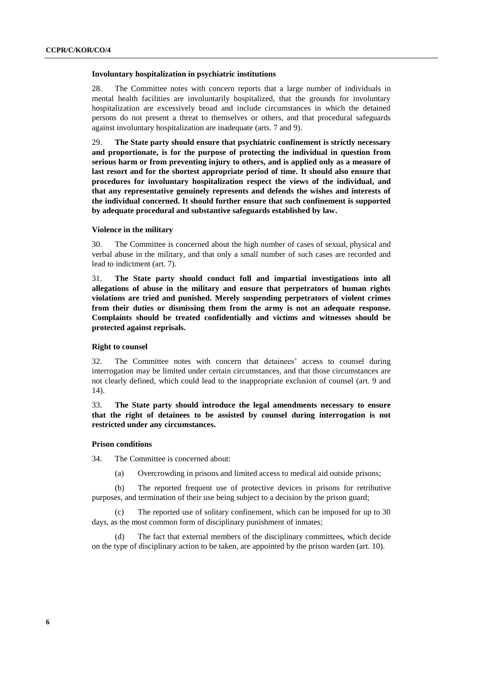#### **Involuntary hospitalization in psychiatric institutions**

28. The Committee notes with concern reports that a large number of individuals in mental health facilities are involuntarily hospitalized, that the grounds for involuntary hospitalization are excessively broad and include circumstances in which the detained persons do not present a threat to themselves or others, and that procedural safeguards against involuntary hospitalization are inadequate (arts. 7 and 9).

29. **The State party should ensure that psychiatric confinement is strictly necessary and proportionate, is for the purpose of protecting the individual in question from serious harm or from preventing injury to others, and is applied only as a measure of last resort and for the shortest appropriate period of time. It should also ensure that procedures for involuntary hospitalization respect the views of the individual, and that any representative genuinely represents and defends the wishes and interests of the individual concerned. It should further ensure that such confinement is supported by adequate procedural and substantive safeguards established by law.**

#### **Violence in the military**

30. The Committee is concerned about the high number of cases of sexual, physical and verbal abuse in the military, and that only a small number of such cases are recorded and lead to indictment (art. 7).

31. **The State party should conduct full and impartial investigations into all allegations of abuse in the military and ensure that perpetrators of human rights violations are tried and punished. Merely suspending perpetrators of violent crimes from their duties or dismissing them from the army is not an adequate response. Complaints should be treated confidentially and victims and witnesses should be protected against reprisals.**

#### **Right to counsel**

32. The Committee notes with concern that detainees' access to counsel during interrogation may be limited under certain circumstances, and that those circumstances are not clearly defined, which could lead to the inappropriate exclusion of counsel (art. 9 and 14).

33. **The State party should introduce the legal amendments necessary to ensure that the right of detainees to be assisted by counsel during interrogation is not restricted under any circumstances.**

#### **Prison conditions**

34. The Committee is concerned about:

(a) Overcrowding in prisons and limited access to medical aid outside prisons;

(b) The reported frequent use of protective devices in prisons for retributive purposes, and termination of their use being subject to a decision by the prison guard;

(c) The reported use of solitary confinement, which can be imposed for up to 30 days, as the most common form of disciplinary punishment of inmates;

The fact that external members of the disciplinary committees, which decide on the type of disciplinary action to be taken, are appointed by the prison warden (art. 10).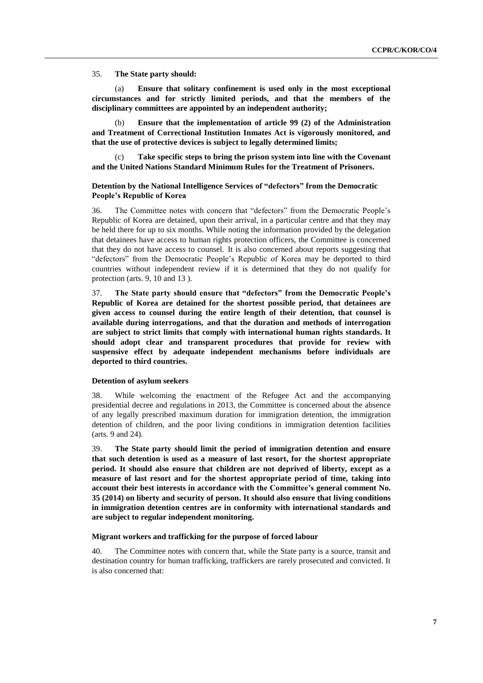35. **The State party should:**

Ensure that solitary confinement is used only in the most exceptional **circumstances and for strictly limited periods, and that the members of the disciplinary committees are appointed by an independent authority;**

(b) **Ensure that the implementation of article 99 (2) of the Administration and Treatment of Correctional Institution Inmates Act is vigorously monitored, and that the use of protective devices is subject to legally determined limits;**

(c) **Take specific steps to bring the prison system into line with the Covenant and the United Nations Standard Minimum Rules for the Treatment of Prisoners.**

## **Detention by the National Intelligence Services of "defectors" from the Democratic People's Republic of Korea**

36. The Committee notes with concern that "defectors" from the Democratic People's Republic of Korea are detained, upon their arrival, in a particular centre and that they may be held there for up to six months. While noting the information provided by the delegation that detainees have access to human rights protection officers, the Committee is concerned that they do not have access to counsel. It is also concerned about reports suggesting that "defectors" from the Democratic People's Republic of Korea may be deported to third countries without independent review if it is determined that they do not qualify for protection (arts. 9, 10 and 13 ).

37. **The State party should ensure that "defectors" from the Democratic People's Republic of Korea are detained for the shortest possible period, that detainees are given access to counsel during the entire length of their detention, that counsel is available during interrogations, and that the duration and methods of interrogation are subject to strict limits that comply with international human rights standards. It should adopt clear and transparent procedures that provide for review with suspensive effect by adequate independent mechanisms before individuals are deported to third countries.**

#### **Detention of asylum seekers**

38. While welcoming the enactment of the Refugee Act and the accompanying presidential decree and regulations in 2013, the Committee is concerned about the absence of any legally prescribed maximum duration for immigration detention, the immigration detention of children, and the poor living conditions in immigration detention facilities (arts. 9 and 24).

39. **The State party should limit the period of immigration detention and ensure that such detention is used as a measure of last resort, for the shortest appropriate period. It should also ensure that children are not deprived of liberty, except as a measure of last resort and for the shortest appropriate period of time, taking into account their best interests in accordance with the Committee's general comment No. 35 (2014) on liberty and security of person. It should also ensure that living conditions in immigration detention centres are in conformity with international standards and are subject to regular independent monitoring.**

#### **Migrant workers and trafficking for the purpose of forced labour**

40. The Committee notes with concern that, while the State party is a source, transit and destination country for human trafficking, traffickers are rarely prosecuted and convicted. It is also concerned that: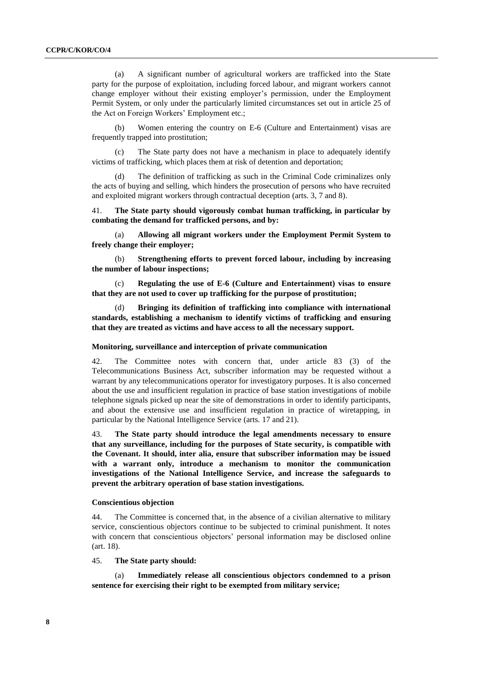(a) A significant number of agricultural workers are trafficked into the State party for the purpose of exploitation, including forced labour, and migrant workers cannot change employer without their existing employer's permission, under the Employment Permit System, or only under the particularly limited circumstances set out in article 25 of the Act on Foreign Workers' Employment etc.;

(b) Women entering the country on E-6 (Culture and Entertainment) visas are frequently trapped into prostitution;

(c) The State party does not have a mechanism in place to adequately identify victims of trafficking, which places them at risk of detention and deportation;

The definition of trafficking as such in the Criminal Code criminalizes only the acts of buying and selling, which hinders the prosecution of persons who have recruited and exploited migrant workers through contractual deception (arts. 3, 7 and 8).

41. **The State party should vigorously combat human trafficking, in particular by combating the demand for trafficked persons, and by:**

(a) **Allowing all migrant workers under the Employment Permit System to freely change their employer;**

(b) **Strengthening efforts to prevent forced labour, including by increasing the number of labour inspections;** 

(c) **Regulating the use of E-6 (Culture and Entertainment) visas to ensure that they are not used to cover up trafficking for the purpose of prostitution;**

(d) **Bringing its definition of trafficking into compliance with international standards, establishing a mechanism to identify victims of trafficking and ensuring that they are treated as victims and have access to all the necessary support.**

#### **Monitoring, surveillance and interception of private communication**

42. The Committee notes with concern that, under article 83 (3) of the Telecommunications Business Act, subscriber information may be requested without a warrant by any telecommunications operator for investigatory purposes. It is also concerned about the use and insufficient regulation in practice of base station investigations of mobile telephone signals picked up near the site of demonstrations in order to identify participants, and about the extensive use and insufficient regulation in practice of wiretapping, in particular by the National Intelligence Service (arts. 17 and 21).

43. **The State party should introduce the legal amendments necessary to ensure that any surveillance, including for the purposes of State security, is compatible with the Covenant. It should, inter alia, ensure that subscriber information may be issued with a warrant only, introduce a mechanism to monitor the communication investigations of the National Intelligence Service, and increase the safeguards to prevent the arbitrary operation of base station investigations.**

#### **Conscientious objection**

44. The Committee is concerned that, in the absence of a civilian alternative to military service, conscientious objectors continue to be subjected to criminal punishment. It notes with concern that conscientious objectors' personal information may be disclosed online (art. 18).

45. **The State party should:**

Immediately release all conscientious objectors condemned to a prison **sentence for exercising their right to be exempted from military service;**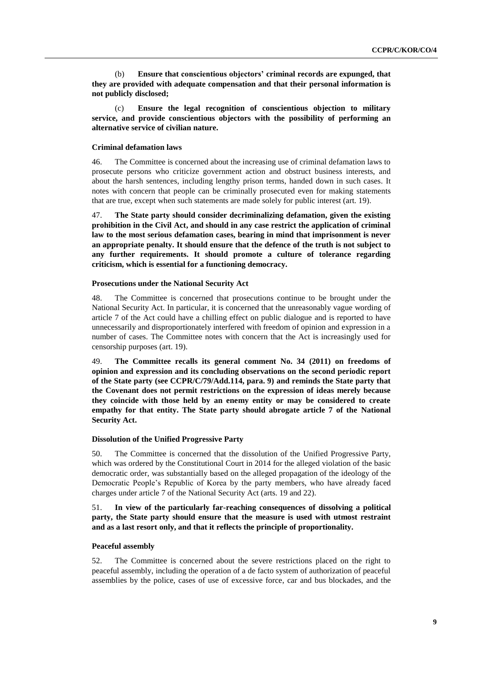(b) **Ensure that conscientious objectors' criminal records are expunged, that they are provided with adequate compensation and that their personal information is not publicly disclosed;**

(c) **Ensure the legal recognition of conscientious objection to military service, and provide conscientious objectors with the possibility of performing an alternative service of civilian nature.**

#### **Criminal defamation laws**

46. The Committee is concerned about the increasing use of criminal defamation laws to prosecute persons who criticize government action and obstruct business interests, and about the harsh sentences, including lengthy prison terms, handed down in such cases. It notes with concern that people can be criminally prosecuted even for making statements that are true, except when such statements are made solely for public interest (art. 19).

47. **The State party should consider decriminalizing defamation, given the existing prohibition in the Civil Act, and should in any case restrict the application of criminal law to the most serious defamation cases, bearing in mind that imprisonment is never an appropriate penalty. It should ensure that the defence of the truth is not subject to any further requirements. It should promote a culture of tolerance regarding criticism, which is essential for a functioning democracy.**

#### **Prosecutions under the National Security Act**

48. The Committee is concerned that prosecutions continue to be brought under the National Security Act. In particular, it is concerned that the unreasonably vague wording of article 7 of the Act could have a chilling effect on public dialogue and is reported to have unnecessarily and disproportionately interfered with freedom of opinion and expression in a number of cases. The Committee notes with concern that the Act is increasingly used for censorship purposes (art. 19).

49. **The Committee recalls its general comment No. 34 (2011) on freedoms of opinion and expression and its concluding observations on the second periodic report of the State party (see CCPR/C/79/Add.114, para. 9) and reminds the State party that the Covenant does not permit restrictions on the expression of ideas merely because they coincide with those held by an enemy entity or may be considered to create empathy for that entity. The State party should abrogate article 7 of the National Security Act.** 

#### **Dissolution of the Unified Progressive Party**

50. The Committee is concerned that the dissolution of the Unified Progressive Party, which was ordered by the Constitutional Court in 2014 for the alleged violation of the basic democratic order, was substantially based on the alleged propagation of the ideology of the Democratic People's Republic of Korea by the party members, who have already faced charges under article 7 of the National Security Act (arts. 19 and 22).

## 51. **In view of the particularly far-reaching consequences of dissolving a political party, the State party should ensure that the measure is used with utmost restraint and as a last resort only, and that it reflects the principle of proportionality.**

#### **Peaceful assembly**

52. The Committee is concerned about the severe restrictions placed on the right to peaceful assembly, including the operation of a de facto system of authorization of peaceful assemblies by the police, cases of use of excessive force, car and bus blockades, and the